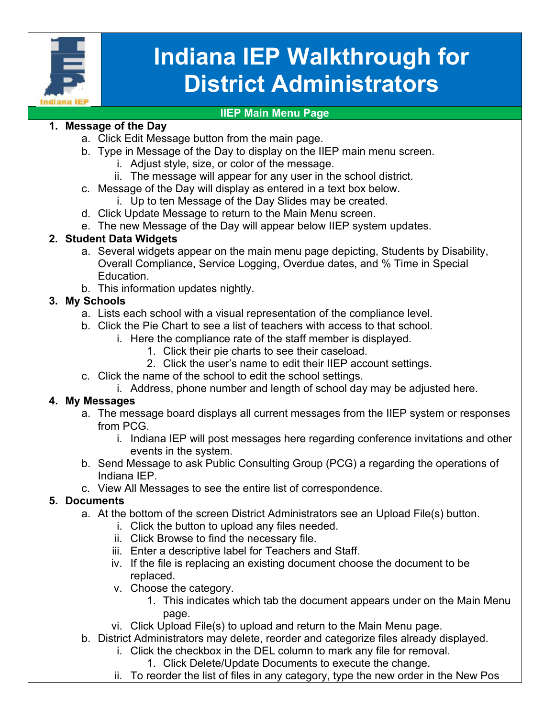

# **Indiana IEP Walkthrough for District Administrators**

#### **IIEP Main Menu Page**

### **1. Message of the Day**

- a. Click Edit Message button from the main page.
- b. Type in Message of the Day to display on the IIEP main menu screen.
	- i. Adjust style, size, or color of the message.
	- ii. The message will appear for any user in the school district.
- c. Message of the Day will display as entered in a text box below.
	- i. Up to ten Message of the Day Slides may be created.
- d. Click Update Message to return to the Main Menu screen.
- e. The new Message of the Day will appear below IIEP system updates.

# **2. Student Data Widgets**

- a. Several widgets appear on the main menu page depicting, Students by Disability, Overall Compliance, Service Logging, Overdue dates, and % Time in Special Education.
- b. This information updates nightly.

# **3. My Schools**

- a. Lists each school with a visual representation of the compliance level.
- b. Click the Pie Chart to see a list of teachers with access to that school.
	- i. Here the compliance rate of the staff member is displayed.
		- 1. Click their pie charts to see their caseload.
		- 2. Click the user's name to edit their IIEP account settings.
- c. Click the name of the school to edit the school settings.
	- i. Address, phone number and length of school day may be adjusted here.

# **4. My Messages**

- a. The message board displays all current messages from the IIEP system or responses from PCG.
	- i. Indiana IEP will post messages here regarding conference invitations and other events in the system.
- b. Send Message to ask Public Consulting Group (PCG) a regarding the operations of Indiana IEP.
- c. View All Messages to see the entire list of correspondence.

# **5. Documents**

- a. At the bottom of the screen District Administrators see an Upload File(s) button.
	- i. Click the button to upload any files needed.
	- ii. Click Browse to find the necessary file.
	- iii. Enter a descriptive label for Teachers and Staff.
	- iv. If the file is replacing an existing document choose the document to be replaced.
	- v. Choose the category.
		- 1. This indicates which tab the document appears under on the Main Menu page.
	- vi. Click Upload File(s) to upload and return to the Main Menu page.
- b. District Administrators may delete, reorder and categorize files already displayed.
	- i. Click the checkbox in the DEL column to mark any file for removal.
		- 1. Click Delete/Update Documents to execute the change.
	- ii. To reorder the list of files in any category, type the new order in the New Pos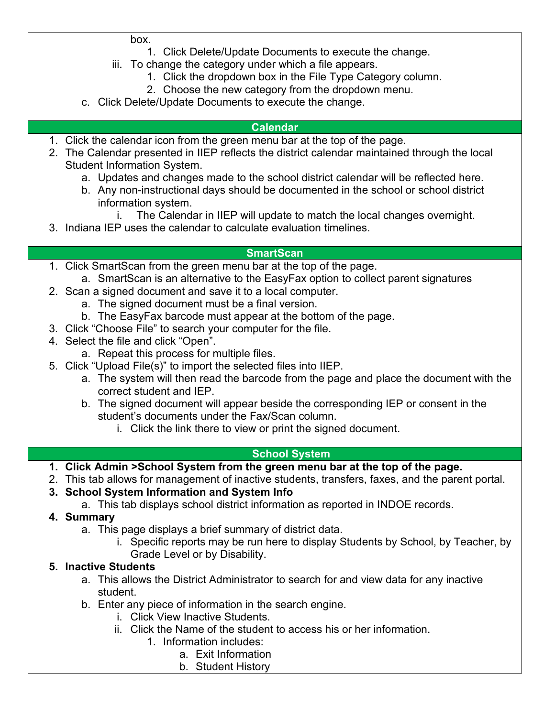box.

- 1. Click Delete/Update Documents to execute the change.
- iii. To change the category under which a file appears.
	- 1. Click the dropdown box in the File Type Category column.
	- 2. Choose the new category from the dropdown menu.
- c. Click Delete/Update Documents to execute the change.

#### **Calendar**

- 1. Click the calendar icon from the green menu bar at the top of the page.
- 2. The Calendar presented in IIEP reflects the district calendar maintained through the local Student Information System.
	- a. Updates and changes made to the school district calendar will be reflected here.
	- b. Any non-instructional days should be documented in the school or school district information system.
		- i. The Calendar in IIEP will update to match the local changes overnight.
- 3. Indiana IEP uses the calendar to calculate evaluation timelines.

#### **SmartScan**

- 1. Click SmartScan from the green menu bar at the top of the page. a. SmartScan is an alternative to the EasyFax option to collect parent signatures
- 2. Scan a signed document and save it to a local computer.
	- a. The signed document must be a final version.
	- b. The EasyFax barcode must appear at the bottom of the page.
- 3. Click "Choose File" to search your computer for the file.
- 4. Select the file and click "Open".
	- a. Repeat this process for multiple files.
- 5. Click "Upload File(s)" to import the selected files into IIEP.
	- a. The system will then read the barcode from the page and place the document with the correct student and IEP.
	- b. The signed document will appear beside the corresponding IEP or consent in the student's documents under the Fax/Scan column.
		- i. Click the link there to view or print the signed document.

#### **School System**

- **1. Click Admin >School System from the green menu bar at the top of the page.**
- 2. This tab allows for management of inactive students, transfers, faxes, and the parent portal.
- **3. School System Information and System Info**
	- a. This tab displays school district information as reported in INDOE records.

### **4. Summary**

- a. This page displays a brief summary of district data.
	- i. Specific reports may be run here to display Students by School, by Teacher, by Grade Level or by Disability.

### **5. Inactive Students**

- a. This allows the District Administrator to search for and view data for any inactive student.
- b. Enter any piece of information in the search engine.
	- i. Click View Inactive Students.
	- ii. Click the Name of the student to access his or her information.
		- 1. Information includes:
			- a. Exit Information
				- b. Student History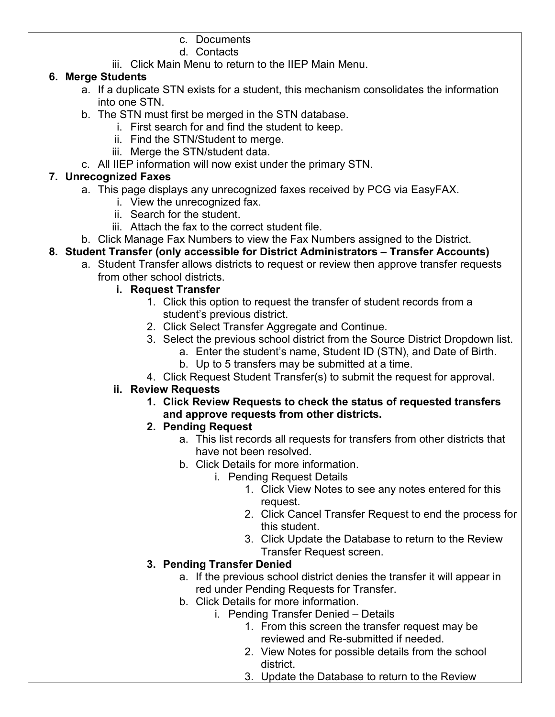#### c. Documents

#### d. Contacts

iii. Click Main Menu to return to the IIEP Main Menu.

#### **6. Merge Students**

- a. If a duplicate STN exists for a student, this mechanism consolidates the information into one STN.
- b. The STN must first be merged in the STN database.
	- i. First search for and find the student to keep.
	- ii. Find the STN/Student to merge.
	- iii. Merge the STN/student data.
- c. All IIEP information will now exist under the primary STN.

## **7. Unrecognized Faxes**

- a. This page displays any unrecognized faxes received by PCG via EasyFAX.
	- i. View the unrecognized fax.
	- ii. Search for the student.
	- iii. Attach the fax to the correct student file.
- b. Click Manage Fax Numbers to view the Fax Numbers assigned to the District.
- **8. Student Transfer (only accessible for District Administrators – Transfer Accounts)**
	- a. Student Transfer allows districts to request or review then approve transfer requests from other school districts.

## **i. Request Transfer**

- 1. Click this option to request the transfer of student records from a student's previous district.
- 2. Click Select Transfer Aggregate and Continue.
- 3. Select the previous school district from the Source District Dropdown list.
	- a. Enter the student's name, Student ID (STN), and Date of Birth.
	- b. Up to 5 transfers may be submitted at a time.
- 4. Click Request Student Transfer(s) to submit the request for approval.

### **ii. Review Requests**

- **1. Click Review Requests to check the status of requested transfers and approve requests from other districts.**
- **2. Pending Request**
	- a. This list records all requests for transfers from other districts that have not been resolved.
	- b. Click Details for more information.
		- i. Pending Request Details
			- 1. Click View Notes to see any notes entered for this request.
			- 2. Click Cancel Transfer Request to end the process for this student.
			- 3. Click Update the Database to return to the Review Transfer Request screen.

# **3. Pending Transfer Denied**

- a. If the previous school district denies the transfer it will appear in red under Pending Requests for Transfer.
- b. Click Details for more information.
	- i. Pending Transfer Denied Details
		- 1. From this screen the transfer request may be reviewed and Re-submitted if needed.
		- 2. View Notes for possible details from the school district.
		- 3. Update the Database to return to the Review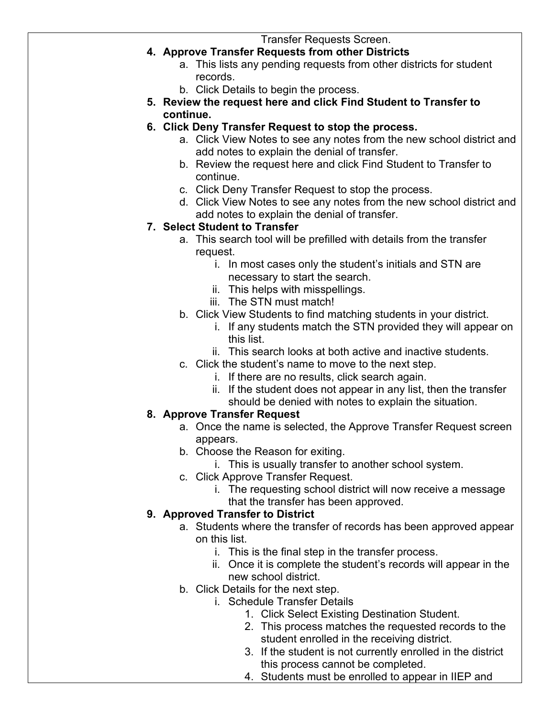Transfer Requests Screen.

- **4. Approve Transfer Requests from other Districts**
	- a. This lists any pending requests from other districts for student records.
	- b. Click Details to begin the process.
- **5. Review the request here and click Find Student to Transfer to continue.**
- **6. Click Deny Transfer Request to stop the process.**
	- a. Click View Notes to see any notes from the new school district and add notes to explain the denial of transfer.
	- b. Review the request here and click Find Student to Transfer to continue.
	- c. Click Deny Transfer Request to stop the process.
	- d. Click View Notes to see any notes from the new school district and add notes to explain the denial of transfer.

#### **7. Select Student to Transfer**

- a. This search tool will be prefilled with details from the transfer request.
	- i. In most cases only the student's initials and STN are necessary to start the search.
	- ii. This helps with misspellings.
	- iii. The STN must match!
- b. Click View Students to find matching students in your district.
	- i. If any students match the STN provided they will appear on this list.
	- ii. This search looks at both active and inactive students.
- c. Click the student's name to move to the next step.
	- i. If there are no results, click search again.
	- ii. If the student does not appear in any list, then the transfer should be denied with notes to explain the situation.

#### **8. Approve Transfer Request**

- a. Once the name is selected, the Approve Transfer Request screen appears.
- b. Choose the Reason for exiting.
	- i. This is usually transfer to another school system.
- c. Click Approve Transfer Request.
	- i. The requesting school district will now receive a message that the transfer has been approved.

### **9. Approved Transfer to District**

- a. Students where the transfer of records has been approved appear on this list.
	- i. This is the final step in the transfer process.
	- ii. Once it is complete the student's records will appear in the new school district.
- b. Click Details for the next step.
	- i. Schedule Transfer Details
		- 1. Click Select Existing Destination Student.
		- 2. This process matches the requested records to the student enrolled in the receiving district.
		- 3. If the student is not currently enrolled in the district this process cannot be completed.
		- 4. Students must be enrolled to appear in IIEP and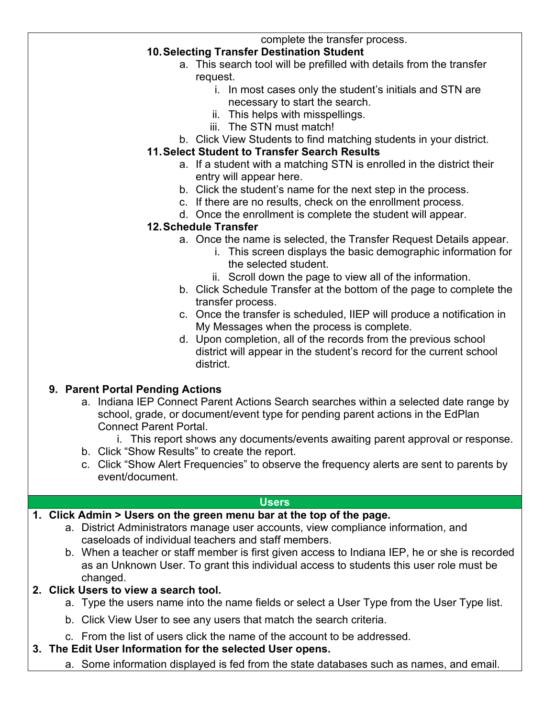complete the transfer process.

## **10.Selecting Transfer Destination Student**

- a. This search tool will be prefilled with details from the transfer request.
	- i. In most cases only the student's initials and STN are necessary to start the search.
	- ii. This helps with misspellings.
	- iii. The STN must match!
- b. Click View Students to find matching students in your district.

## **11.Select Student to Transfer Search Results**

- a. If a student with a matching STN is enrolled in the district their entry will appear here.
- b. Click the student's name for the next step in the process.
- c. If there are no results, check on the enrollment process.
- d. Once the enrollment is complete the student will appear.

#### **12.Schedule Transfer**

- a. Once the name is selected, the Transfer Request Details appear.
	- i. This screen displays the basic demographic information for the selected student.
	- ii. Scroll down the page to view all of the information.
- b. Click Schedule Transfer at the bottom of the page to complete the transfer process.
- c. Once the transfer is scheduled, IIEP will produce a notification in My Messages when the process is complete.
- d. Upon completion, all of the records from the previous school district will appear in the student's record for the current school district.

### **9. Parent Portal Pending Actions**

- a. Indiana IEP Connect Parent Actions Search searches within a selected date range by school, grade, or document/event type for pending parent actions in the EdPlan Connect Parent Portal.
	- i. This report shows any documents/events awaiting parent approval or response.
- b. Click "Show Results" to create the report.
- c. Click "Show Alert Frequencies" to observe the frequency alerts are sent to parents by event/document.

#### **Users**

### **1. Click Admin > Users on the green menu bar at the top of the page.**

- a. District Administrators manage user accounts, view compliance information, and caseloads of individual teachers and staff members.
- b. When a teacher or staff member is first given access to Indiana IEP, he or she is recorded as an Unknown User. To grant this individual access to students this user role must be changed.

### **2. Click Users to view a search tool.**

- a. Type the users name into the name fields or select a User Type from the User Type list.
- b. Click View User to see any users that match the search criteria.
- c. From the list of users click the name of the account to be addressed.

### **3. The Edit User Information for the selected User opens.**

a. Some information displayed is fed from the state databases such as names, and email.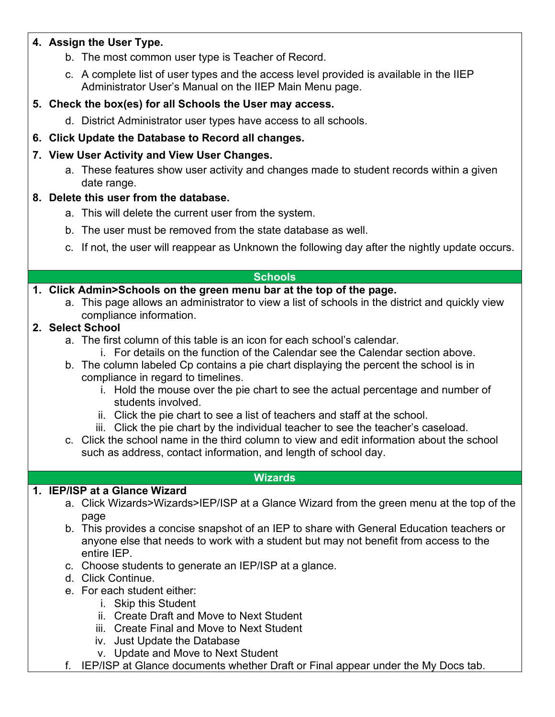### **4. Assign the User Type.**

- b. The most common user type is Teacher of Record.
- c. A complete list of user types and the access level provided is available in the IIEP Administrator User's Manual on the IIEP Main Menu page.

## **5. Check the box(es) for all Schools the User may access.**

d. District Administrator user types have access to all schools.

## **6. Click Update the Database to Record all changes.**

## **7. View User Activity and View User Changes.**

a. These features show user activity and changes made to student records within a given date range.

### **8. Delete this user from the database.**

- a. This will delete the current user from the system.
- b. The user must be removed from the state database as well.
- c. If not, the user will reappear as Unknown the following day after the nightly update occurs.

#### **Schools**

## **1. Click Admin>Schools on the green menu bar at the top of the page.**

a. This page allows an administrator to view a list of schools in the district and quickly view compliance information.

## **2. Select School**

- a. The first column of this table is an icon for each school's calendar.
	- i. For details on the function of the Calendar see the Calendar section above.
- b. The column labeled Cp contains a pie chart displaying the percent the school is in compliance in regard to timelines.
	- i. Hold the mouse over the pie chart to see the actual percentage and number of students involved.
	- ii. Click the pie chart to see a list of teachers and staff at the school.
	- iii. Click the pie chart by the individual teacher to see the teacher's caseload.
- c. Click the school name in the third column to view and edit information about the school such as address, contact information, and length of school day.

#### **Wizards**

### **1. IEP/ISP at a Glance Wizard**

- a. Click Wizards>Wizards>IEP/ISP at a Glance Wizard from the green menu at the top of the page
- b. This provides a concise snapshot of an IEP to share with General Education teachers or anyone else that needs to work with a student but may not benefit from access to the entire IEP.
- c. Choose students to generate an IEP/ISP at a glance.
- d. Click Continue.
- e. For each student either:
	- i. Skip this Student
	- ii. Create Draft and Move to Next Student
	- iii. Create Final and Move to Next Student
	- iv. Just Update the Database
	- v. Update and Move to Next Student
- f. IEP/ISP at Glance documents whether Draft or Final appear under the My Docs tab.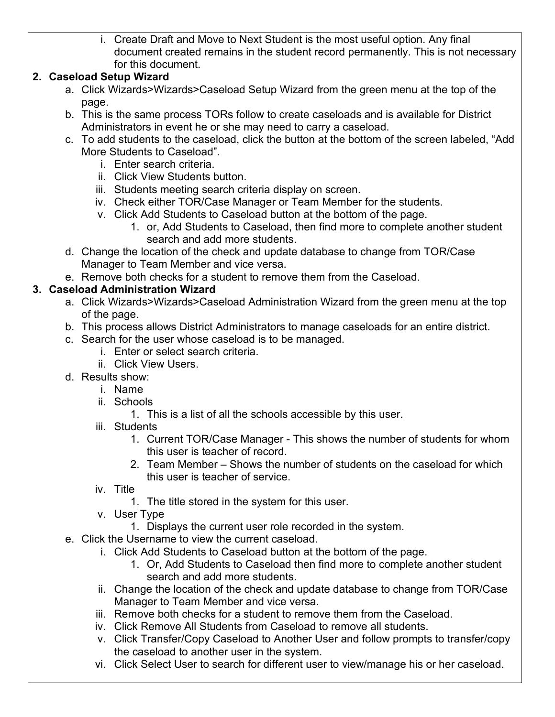i. Create Draft and Move to Next Student is the most useful option. Any final document created remains in the student record permanently. This is not necessary for this document.

## **2. Caseload Setup Wizard**

- a. Click Wizards>Wizards>Caseload Setup Wizard from the green menu at the top of the page.
- b. This is the same process TORs follow to create caseloads and is available for District Administrators in event he or she may need to carry a caseload.
- c. To add students to the caseload, click the button at the bottom of the screen labeled, "Add More Students to Caseload".
	- i. Enter search criteria.
	- ii. Click View Students button.
	- iii. Students meeting search criteria display on screen.
	- iv. Check either TOR/Case Manager or Team Member for the students.
	- v. Click Add Students to Caseload button at the bottom of the page.
		- 1. or, Add Students to Caseload, then find more to complete another student search and add more students.
- d. Change the location of the check and update database to change from TOR/Case Manager to Team Member and vice versa.
- e. Remove both checks for a student to remove them from the Caseload.

## **3. Caseload Administration Wizard**

- a. Click Wizards>Wizards>Caseload Administration Wizard from the green menu at the top of the page.
- b. This process allows District Administrators to manage caseloads for an entire district.
- c. Search for the user whose caseload is to be managed.
	- i. Enter or select search criteria.
	- ii. Click View Users.
- d. Results show:
	- i. Name
	- ii. Schools
		- 1. This is a list of all the schools accessible by this user.
	- iii. Students
		- 1. Current TOR/Case Manager This shows the number of students for whom this user is teacher of record.
		- 2. Team Member Shows the number of students on the caseload for which this user is teacher of service.
	- iv. Title
		- 1. The title stored in the system for this user.
	- v. User Type
		- 1. Displays the current user role recorded in the system.
- e. Click the Username to view the current caseload.
	- i. Click Add Students to Caseload button at the bottom of the page.
		- 1. Or, Add Students to Caseload then find more to complete another student search and add more students.
	- ii. Change the location of the check and update database to change from TOR/Case Manager to Team Member and vice versa.
	- iii. Remove both checks for a student to remove them from the Caseload.
	- iv. Click Remove All Students from Caseload to remove all students.
	- v. Click Transfer/Copy Caseload to Another User and follow prompts to transfer/copy the caseload to another user in the system.
	- vi. Click Select User to search for different user to view/manage his or her caseload.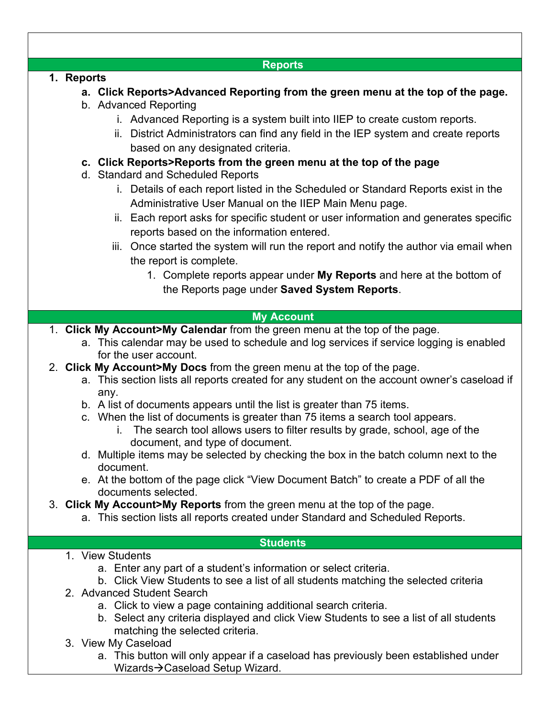| <b>Reports</b>                                                                                           |
|----------------------------------------------------------------------------------------------------------|
| 1. Reports                                                                                               |
| a. Click Reports>Advanced Reporting from the green menu at the top of the page.<br>b. Advanced Reporting |
| i. Advanced Reporting is a system built into IIEP to create custom reports.                              |
| ii. District Administrators can find any field in the IEP system and create reports                      |
| based on any designated criteria.                                                                        |
|                                                                                                          |
| c. Click Reports>Reports from the green menu at the top of the page<br>d. Standard and Scheduled Reports |
| i. Details of each report listed in the Scheduled or Standard Reports exist in the                       |
| Administrative User Manual on the IIEP Main Menu page.                                                   |
| ii. Each report asks for specific student or user information and generates specific                     |
| reports based on the information entered.                                                                |
| iii. Once started the system will run the report and notify the author via email when                    |
| the report is complete.                                                                                  |
| 1. Complete reports appear under My Reports and here at the bottom of                                    |
| the Reports page under Saved System Reports.                                                             |
|                                                                                                          |
| <b>My Account</b>                                                                                        |
| 1. Click My Account>My Calendar from the green menu at the top of the page.                              |
| a. This calendar may be used to schedule and log services if service logging is enabled                  |
| for the user account.                                                                                    |
| 2. Click My Account>My Docs from the green menu at the top of the page.                                  |
| a. This section lists all reports created for any student on the account owner's caseload if             |
| any.                                                                                                     |
| b. A list of documents appears until the list is greater than 75 items.                                  |
| c. When the list of documents is greater than 75 items a search tool appears.                            |
| i. The search tool allows users to filter results by grade, school, age of the                           |
| document, and type of document.                                                                          |
| d. Multiple items may be selected by checking the box in the batch column next to the                    |
| document.<br>e. At the bottom of the page click "View Document Batch" to create a PDF of all the         |
| documents selected.                                                                                      |
| 3. Click My Account>My Reports from the green menu at the top of the page.                               |
| a. This section lists all reports created under Standard and Scheduled Reports.                          |
|                                                                                                          |
| <b>Students</b>                                                                                          |
| 1. View Students                                                                                         |
| a. Enter any part of a student's information or select criteria.                                         |
| b. Click View Students to see a list of all students matching the selected criteria                      |
| 2. Advanced Student Search                                                                               |
| a. Click to view a page containing additional search criteria.                                           |
| b. Select any criteria displayed and click View Students to see a list of all students                   |
| matching the selected criteria.<br>3. View My Caseload                                                   |
| a. This button will only appear if a caseload has previously been established under                      |
| Wizards → Caseload Setup Wizard.                                                                         |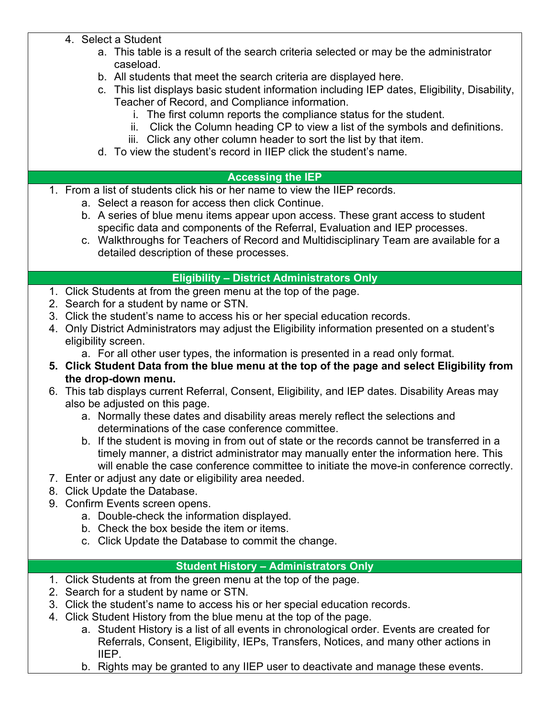- 4. Select a Student
	- a. This table is a result of the search criteria selected or may be the administrator caseload.
	- b. All students that meet the search criteria are displayed here.
	- c. This list displays basic student information including IEP dates, Eligibility, Disability, Teacher of Record, and Compliance information.
		- i. The first column reports the compliance status for the student.
		- ii. Click the Column heading CP to view a list of the symbols and definitions.
		- iii. Click any other column header to sort the list by that item.
	- d. To view the student's record in IIEP click the student's name.

#### **Accessing the IEP**

- 1. From a list of students click his or her name to view the IIEP records.
	- a. Select a reason for access then click Continue.
	- b. A series of blue menu items appear upon access. These grant access to student specific data and components of the Referral, Evaluation and IEP processes.
	- c. Walkthroughs for Teachers of Record and Multidisciplinary Team are available for a detailed description of these processes.

#### **Eligibility – District Administrators Only**

- 1. Click Students at from the green menu at the top of the page.
- 2. Search for a student by name or STN.
- 3. Click the student's name to access his or her special education records.
- 4. Only District Administrators may adjust the Eligibility information presented on a student's eligibility screen.
	- a. For all other user types, the information is presented in a read only format.
- **5. Click Student Data from the blue menu at the top of the page and select Eligibility from the drop-down menu.**
- 6. This tab displays current Referral, Consent, Eligibility, and IEP dates. Disability Areas may also be adjusted on this page.
	- a. Normally these dates and disability areas merely reflect the selections and determinations of the case conference committee.
	- b. If the student is moving in from out of state or the records cannot be transferred in a timely manner, a district administrator may manually enter the information here. This will enable the case conference committee to initiate the move-in conference correctly.
- 7. Enter or adjust any date or eligibility area needed.
- 8. Click Update the Database.
- 9. Confirm Events screen opens.
	- a. Double-check the information displayed.
	- b. Check the box beside the item or items.
	- c. Click Update the Database to commit the change.

### **Student History – Administrators Only**

- 1. Click Students at from the green menu at the top of the page.
- 2. Search for a student by name or STN.
- 3. Click the student's name to access his or her special education records.
- 4. Click Student History from the blue menu at the top of the page.
	- a. Student History is a list of all events in chronological order. Events are created for Referrals, Consent, Eligibility, IEPs, Transfers, Notices, and many other actions in IIEP.
	- b. Rights may be granted to any IIEP user to deactivate and manage these events.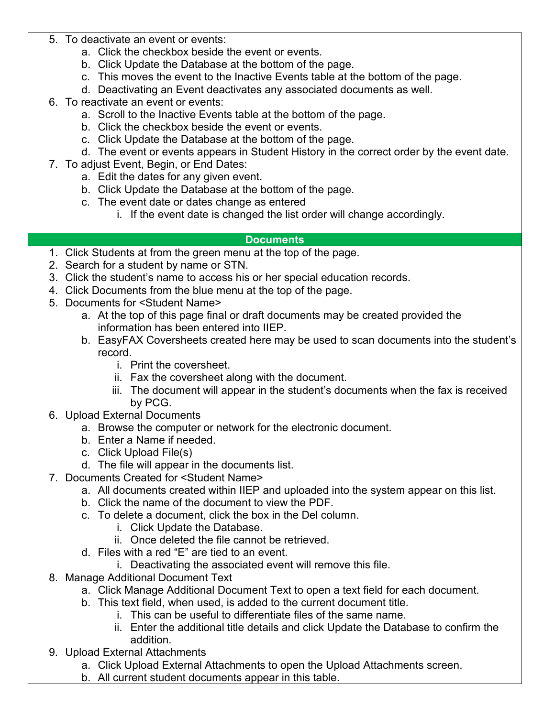- 5. To deactivate an event or events:
	- a. Click the checkbox beside the event or events.
	- b. Click Update the Database at the bottom of the page.
	- c. This moves the event to the Inactive Events table at the bottom of the page.
	- d. Deactivating an Event deactivates any associated documents as well.
- 6. To reactivate an event or events:
	- a. Scroll to the Inactive Events table at the bottom of the page.
	- b. Click the checkbox beside the event or events.
	- c. Click Update the Database at the bottom of the page.
	- d. The event or events appears in Student History in the correct order by the event date.
- 7. To adjust Event, Begin, or End Dates:
	- a. Edit the dates for any given event.
	- b. Click Update the Database at the bottom of the page.
	- c. The event date or dates change as entered
		- i. If the event date is changed the list order will change accordingly.

#### **Documents**

- 1. Click Students at from the green menu at the top of the page.
- 2. Search for a student by name or STN.
- 3. Click the student's name to access his or her special education records.
- 4. Click Documents from the blue menu at the top of the page.
- 5. Documents for <Student Name>
	- a. At the top of this page final or draft documents may be created provided the information has been entered into IIEP.
	- b. EasyFAX Coversheets created here may be used to scan documents into the student's record.
		- i. Print the coversheet.
		- ii. Fax the coversheet along with the document.
		- iii. The document will appear in the student's documents when the fax is received by PCG.
- 6. Upload External Documents
	- a. Browse the computer or network for the electronic document.
	- b. Enter a Name if needed.
	- c. Click Upload File(s)
	- d. The file will appear in the documents list.
- 7. Documents Created for <Student Name>
	- a. All documents created within IIEP and uploaded into the system appear on this list.
	- b. Click the name of the document to view the PDF.
	- c. To delete a document, click the box in the Del column.
		- i. Click Update the Database.
		- ii. Once deleted the file cannot be retrieved.
	- d. Files with a red "E" are tied to an event.
		- i. Deactivating the associated event will remove this file.
- 8. Manage Additional Document Text
	- a. Click Manage Additional Document Text to open a text field for each document.
	- b. This text field, when used, is added to the current document title.
		- i. This can be useful to differentiate files of the same name.
		- ii. Enter the additional title details and click Update the Database to confirm the addition.
- 9. Upload External Attachments
	- a. Click Upload External Attachments to open the Upload Attachments screen.
	- b. All current student documents appear in this table.